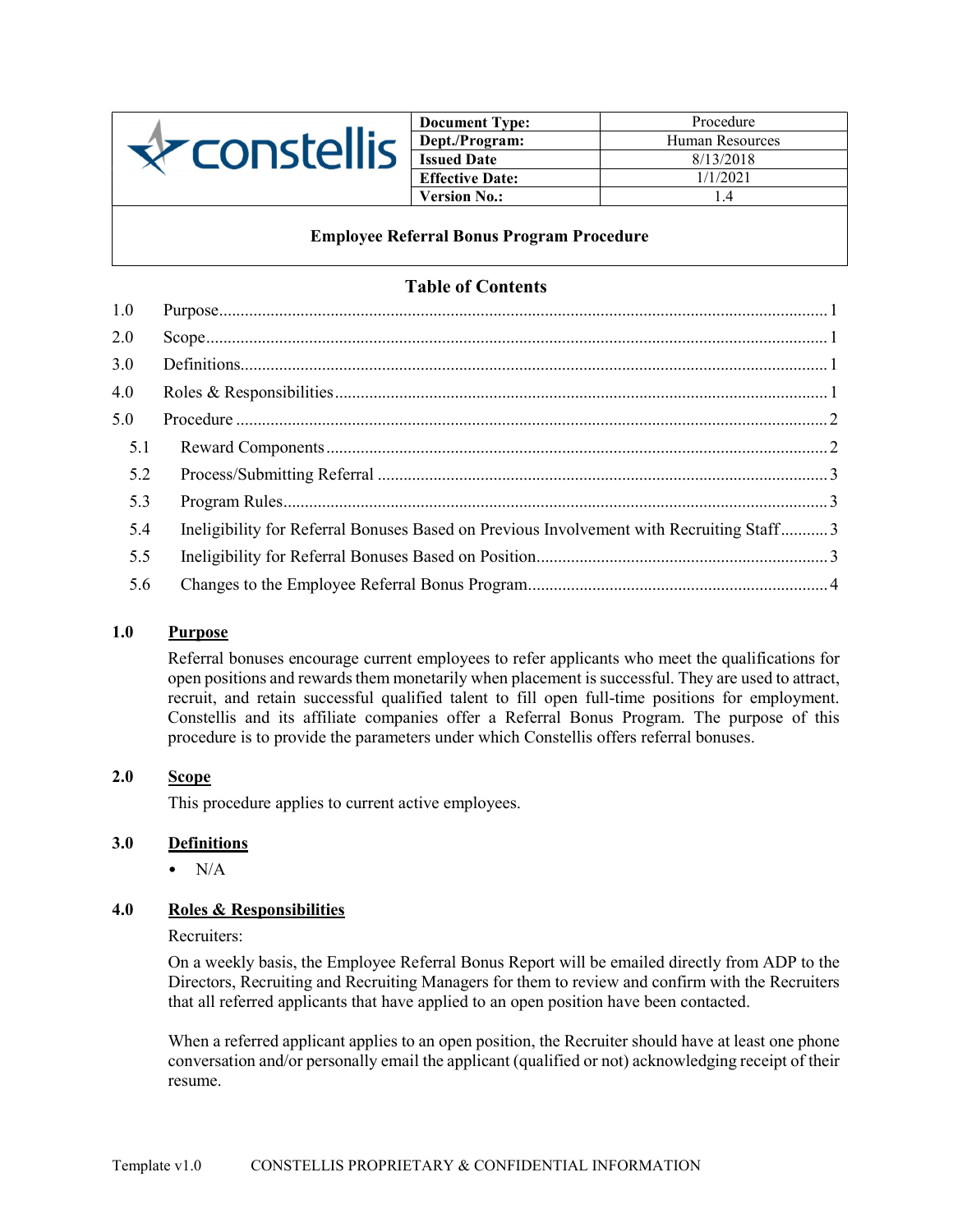

| <b>Document Type:</b>  | Procedure       |
|------------------------|-----------------|
| Dept./Program:         | Human Resources |
| <b>Issued Date</b>     | 8/13/2018       |
| <b>Effective Date:</b> | 1/1/2021        |
| <b>Version No.:</b>    | 14              |

# Employee Referral Bonus Program Procedure

# Table of Contents

| 1.0 |                                                                                         |  |
|-----|-----------------------------------------------------------------------------------------|--|
| 2.0 |                                                                                         |  |
| 3.0 |                                                                                         |  |
| 4.0 |                                                                                         |  |
| 5.0 |                                                                                         |  |
| 5.1 |                                                                                         |  |
| 5.2 |                                                                                         |  |
| 5.3 |                                                                                         |  |
| 5.4 | Ineligibility for Referral Bonuses Based on Previous Involvement with Recruiting Staff3 |  |
| 5.5 |                                                                                         |  |
| 5.6 |                                                                                         |  |
|     |                                                                                         |  |

### 1.0 Purpose

Referral bonuses encourage current employees to refer applicants who meet the qualifications for open positions and rewards them monetarily when placement is successful. They are used to attract, recruit, and retain successful qualified talent to fill open full-time positions for employment. Constellis and its affiliate companies offer a Referral Bonus Program. The purpose of this procedure is to provide the parameters under which Constellis offers referral bonuses.

#### 2.0 Scope

This procedure applies to current active employees.

### 3.0 Definitions

 $\bullet$  N/A

# 4.0 Roles & Responsibilities

Recruiters:

On a weekly basis, the Employee Referral Bonus Report will be emailed directly from ADP to the Directors, Recruiting and Recruiting Managers for them to review and confirm with the Recruiters that all referred applicants that have applied to an open position have been contacted.

When a referred applicant applies to an open position, the Recruiter should have at least one phone conversation and/or personally email the applicant (qualified or not) acknowledging receipt of their resume.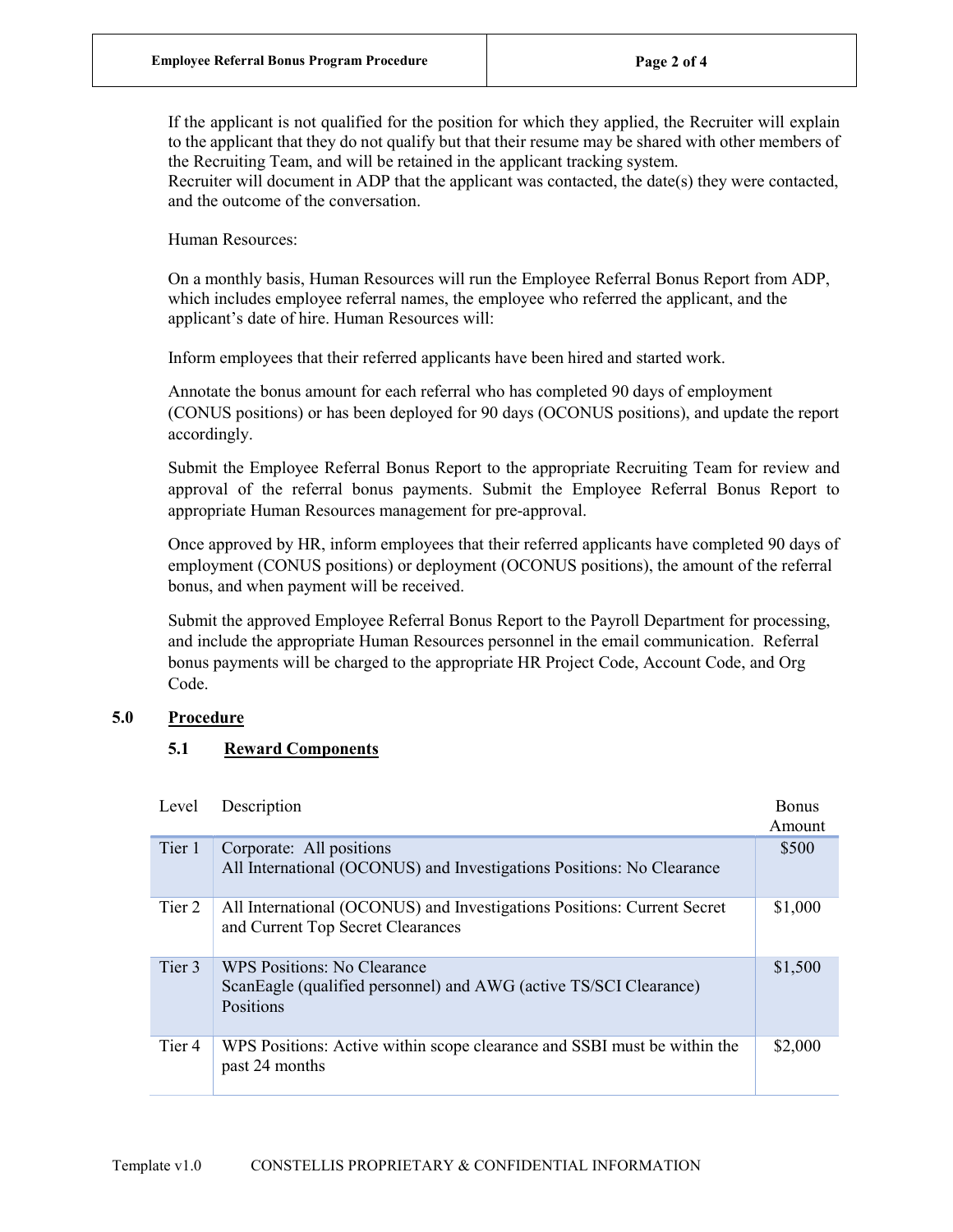If the applicant is not qualified for the position for which they applied, the Recruiter will explain to the applicant that they do not qualify but that their resume may be shared with other members of the Recruiting Team, and will be retained in the applicant tracking system.

Recruiter will document in ADP that the applicant was contacted, the date(s) they were contacted, and the outcome of the conversation.

Human Resources:

On a monthly basis, Human Resources will run the Employee Referral Bonus Report from ADP, which includes employee referral names, the employee who referred the applicant, and the applicant's date of hire. Human Resources will:

Inform employees that their referred applicants have been hired and started work.

Annotate the bonus amount for each referral who has completed 90 days of employment (CONUS positions) or has been deployed for 90 days (OCONUS positions), and update the report accordingly.

Submit the Employee Referral Bonus Report to the appropriate Recruiting Team for review and approval of the referral bonus payments. Submit the Employee Referral Bonus Report to appropriate Human Resources management for pre-approval.

Once approved by HR, inform employees that their referred applicants have completed 90 days of employment (CONUS positions) or deployment (OCONUS positions), the amount of the referral bonus, and when payment will be received.

Submit the approved Employee Referral Bonus Report to the Payroll Department for processing, and include the appropriate Human Resources personnel in the email communication. Referral bonus payments will be charged to the appropriate HR Project Code, Account Code, and Org Code.

# 5.0 Procedure

### 5.1 Reward Components

| Level  | Description                                                                                                          | <b>Bonus</b><br>Amount |
|--------|----------------------------------------------------------------------------------------------------------------------|------------------------|
| Tier 1 | Corporate: All positions<br>All International (OCONUS) and Investigations Positions: No Clearance                    | \$500                  |
| Tier 2 | All International (OCONUS) and Investigations Positions: Current Secret<br>and Current Top Secret Clearances         | \$1,000                |
| Tier 3 | <b>WPS Positions: No Clearance</b><br>ScanEagle (qualified personnel) and AWG (active TS/SCI Clearance)<br>Positions | \$1,500                |
| Tier 4 | WPS Positions: Active within scope clearance and SSBI must be within the<br>past 24 months                           | \$2,000                |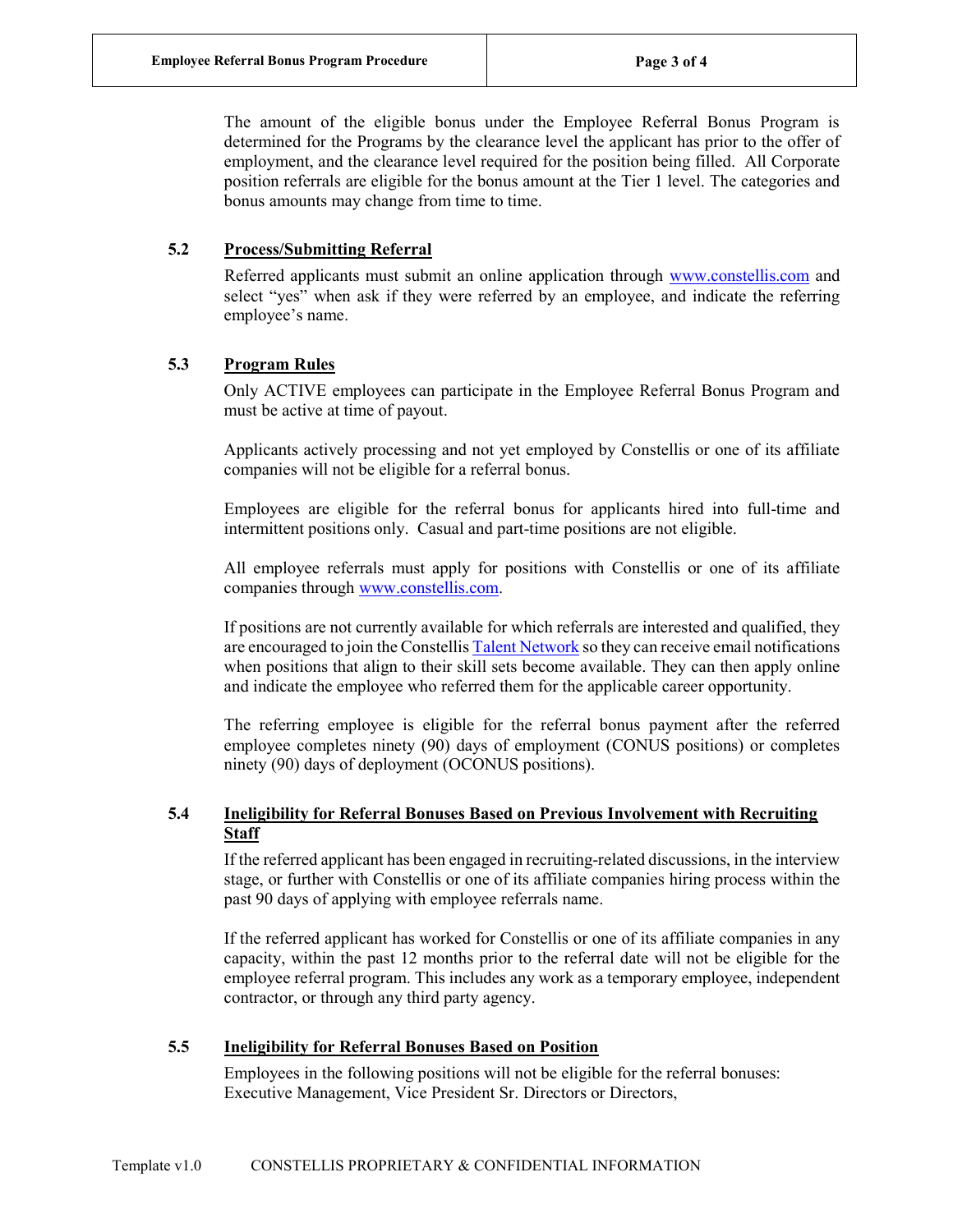The amount of the eligible bonus under the Employee Referral Bonus Program is determined for the Programs by the clearance level the applicant has prior to the offer of employment, and the clearance level required for the position being filled. All Corporate position referrals are eligible for the bonus amount at the Tier 1 level. The categories and bonus amounts may change from time to time.

#### 5.2 Process/Submitting Referral

 Referred applicants must submit an online application through www.constellis.com and select "yes" when ask if they were referred by an employee, and indicate the referring employee's name.

#### 5.3 Program Rules

Only ACTIVE employees can participate in the Employee Referral Bonus Program and must be active at time of payout.

Applicants actively processing and not yet employed by Constellis or one of its affiliate companies will not be eligible for a referral bonus.

Employees are eligible for the referral bonus for applicants hired into full-time and intermittent positions only. Casual and part-time positions are not eligible.

All employee referrals must apply for positions with Constellis or one of its affiliate companies through www.constellis.com.

If positions are not currently available for which referrals are interested and qualified, they are encouraged to join the Constellis Talent Network so they can receive email notifications when positions that align to their skill sets become available. They can then apply online and indicate the employee who referred them for the applicable career opportunity.

The referring employee is eligible for the referral bonus payment after the referred employee completes ninety (90) days of employment (CONUS positions) or completes ninety (90) days of deployment (OCONUS positions).

# 5.4 Ineligibility for Referral Bonuses Based on Previous Involvement with Recruiting **Staff**

If the referred applicant has been engaged in recruiting-related discussions, in the interview stage, or further with Constellis or one of its affiliate companies hiring process within the past 90 days of applying with employee referrals name.

If the referred applicant has worked for Constellis or one of its affiliate companies in any capacity, within the past 12 months prior to the referral date will not be eligible for the employee referral program. This includes any work as a temporary employee, independent contractor, or through any third party agency.

#### 5.5 Ineligibility for Referral Bonuses Based on Position

Employees in the following positions will not be eligible for the referral bonuses: Executive Management, Vice President Sr. Directors or Directors,